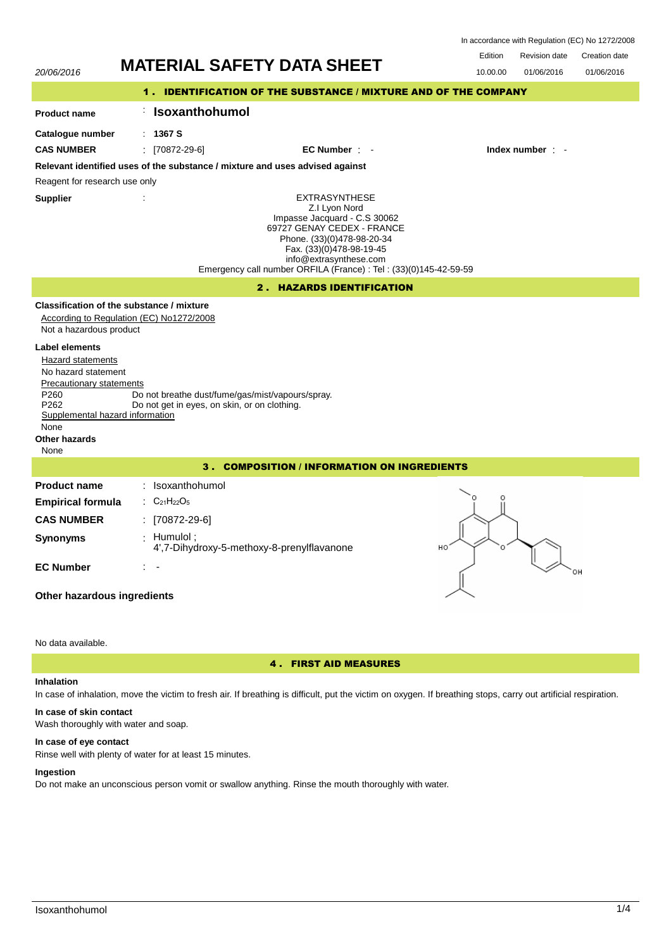| In accordance with Regulation (EC) No 1272/2008 |  |  |  |
|-------------------------------------------------|--|--|--|
|-------------------------------------------------|--|--|--|

Edition Revision date Creation date



## 4 . FIRST AID MEASURES

# **Inhalation**

In case of inhalation, move the victim to fresh air. If breathing is difficult, put the victim on oxygen. If breathing stops, carry out artificial respiration.

## **In case of skin contact** Wash thoroughly with water and soap.

# **In case of eye contact**

Rinse well with plenty of water for at least 15 minutes.

## **Ingestion**

Do not make an unconscious person vomit or swallow anything. Rinse the mouth thoroughly with water.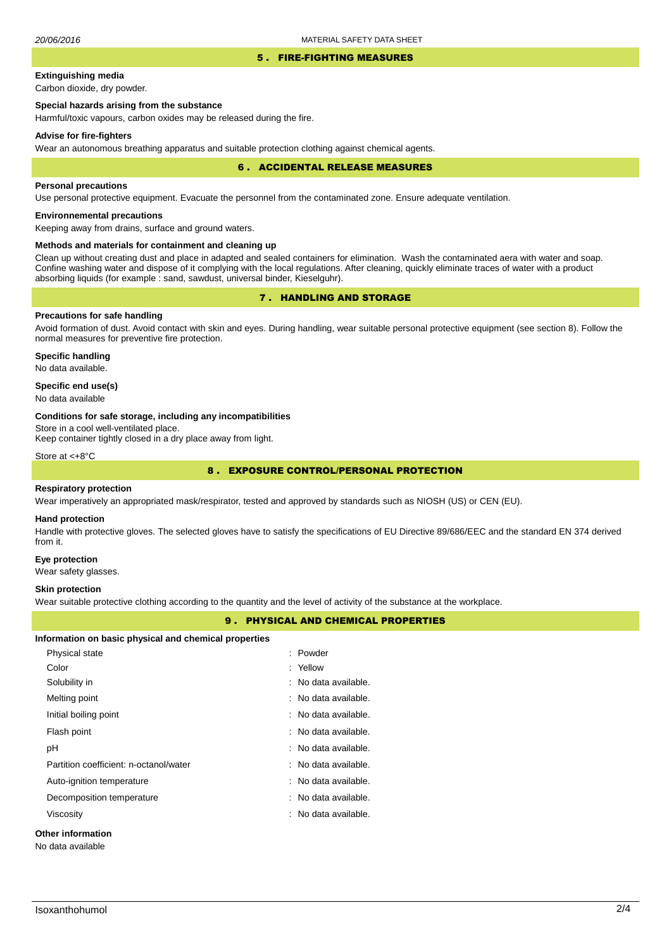### 5 . FIRE-FIGHTING MEASURES

# **Extinguishing media**

Carbon dioxide, dry powder.

# **Special hazards arising from the substance**

Harmful/toxic vapours, carbon oxides may be released during the fire.

### **Advise for fire-fighters**

Wear an autonomous breathing apparatus and suitable protection clothing against chemical agents.

#### 6 . ACCIDENTAL RELEASE MEASURES

### **Personal precautions**

Use personal protective equipment. Evacuate the personnel from the contaminated zone. Ensure adequate ventilation.

# **Environnemental precautions**

Keeping away from drains, surface and ground waters.

## **Methods and materials for containment and cleaning up**

Clean up without creating dust and place in adapted and sealed containers for elimination. Wash the contaminated aera with water and soap. Confine washing water and dispose of it complying with the local regulations. After cleaning, quickly eliminate traces of water with a product absorbing liquids (for example : sand, sawdust, universal binder, Kieselguhr).

# 7 . HANDLING AND STORAGE

## **Precautions for safe handling**

Avoid formation of dust. Avoid contact with skin and eyes. During handling, wear suitable personal protective equipment (see section 8). Follow the normal measures for preventive fire protection.

**Specific handling** No data available.

## **Specific end use(s)**

No data available

### **Conditions for safe storage, including any incompatibilities**

Store in a cool well-ventilated place.

Keep container tightly closed in a dry place away from light.

Store at <+8°C

# 8 . EXPOSURE CONTROL/PERSONAL PROTECTION

### **Respiratory protection**

Wear imperatively an appropriated mask/respirator, tested and approved by standards such as NIOSH (US) or CEN (EU).

#### **Hand protection**

Handle with protective gloves. The selected gloves have to satisfy the specifications of EU Directive 89/686/EEC and the standard EN 374 derived from it.

### **Eye protection**

Wear safety glasses.

### **Skin protection**

Wear suitable protective clothing according to the quantity and the level of activity of the substance at the workplace.

## 9 . PHYSICAL AND CHEMICAL PROPERTIES

### **Information on basic physical and chemical properties**

| Physical state                         | : Powder             |
|----------------------------------------|----------------------|
| Color                                  | : Yellow             |
| Solubility in                          | : No data available. |
| Melting point                          | : No data available. |
| Initial boiling point                  | : No data available. |
| Flash point                            | : No data available. |
| рH                                     | : No data available. |
| Partition coefficient: n-octanol/water | : No data available. |
| Auto-ignition temperature              | : No data available. |
| Decomposition temperature              | : No data available. |
| Viscosity                              | : No data available. |
| <b>Other information</b>               |                      |

No data available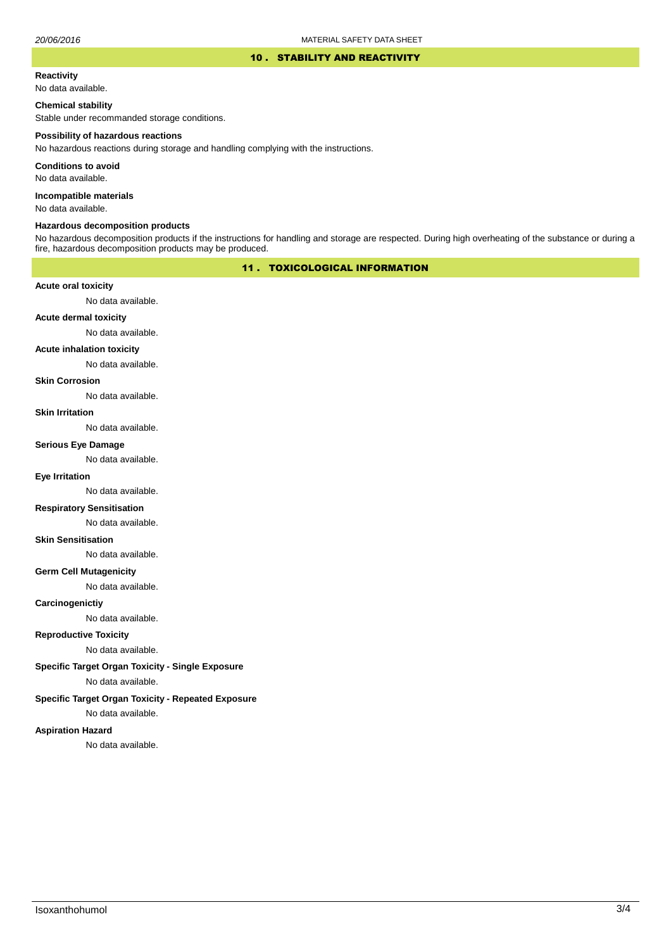### 10 . STABILITY AND REACTIVITY

#### **Reactivity**

No data available.

## **Chemical stability**

Stable under recommanded storage conditions.

#### **Possibility of hazardous reactions**

No hazardous reactions during storage and handling complying with the instructions.

**Conditions to avoid**

No data available.

**Incompatible materials**

No data available.

## **Hazardous decomposition products**

No hazardous decomposition products if the instructions for handling and storage are respected. During high overheating of the substance or during a fire, hazardous decomposition products may be produced.

# 11 . TOXICOLOGICAL INFORMATION

## **Acute oral toxicity**

No data available.

# **Acute dermal toxicity**

No data available.

## **Acute inhalation toxicity**

No data available.

## **Skin Corrosion**

No data available.

#### **Skin Irritation**

No data available.

# **Serious Eye Damage**

No data available.

## **Eye Irritation**

No data available.

## **Respiratory Sensitisation**

No data available.

### **Skin Sensitisation**

No data available.

## **Germ Cell Mutagenicity**

No data available.

## **Carcinogenictiy**

No data available.

# **Reproductive Toxicity**

No data available.

# **Specific Target Organ Toxicity - Single Exposure**

No data available.

## **Specific Target Organ Toxicity - Repeated Exposure**

No data available.

### **Aspiration Hazard**

No data available.